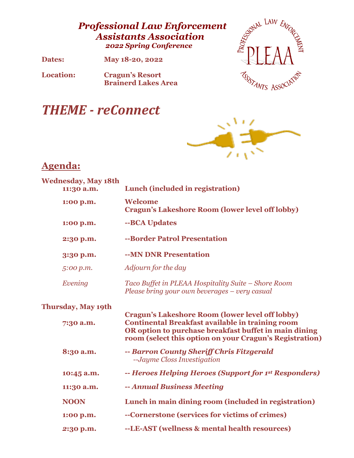# *Professional Law Enforcement Assistants Association 2022 Spring Conference*

**Dates: May 18-20, 2022**

**Location: Cragun's Resort Brainerd Lakes Area**



# *THEME - reConnect*



# **Agenda:**

| <b>Wednesday, May 18th</b><br>11:30 a.m. | Lunch (included in registration)                                                                                                                                                                                                      |
|------------------------------------------|---------------------------------------------------------------------------------------------------------------------------------------------------------------------------------------------------------------------------------------|
| 1:00 p.m.                                | Welcome<br><b>Cragun's Lakeshore Room (lower level off lobby)</b>                                                                                                                                                                     |
| 1:00 p.m.                                | --BCA Updates                                                                                                                                                                                                                         |
| 2:30 p.m.                                | --Border Patrol Presentation                                                                                                                                                                                                          |
| 3:30 p.m.                                | --MN DNR Presentation                                                                                                                                                                                                                 |
| 5:00 p.m.                                | Adjourn for the day                                                                                                                                                                                                                   |
| Evening                                  | Taco Buffet in PLEAA Hospitality Suite – Shore Room<br>Please bring your own beverages - very casual                                                                                                                                  |
| Thursday, May 19th                       |                                                                                                                                                                                                                                       |
| 7:30 a.m.                                | <b>Cragun's Lakeshore Room (lower level off lobby)</b><br><b>Continental Breakfast available in training room</b><br>OR option to purchase breakfast buffet in main dining<br>room (select this option on your Cragun's Registration) |
| 8:30 a.m.                                | -- Barron County Sheriff Chris Fitzgerald<br>--Jayme Closs Investigation                                                                                                                                                              |
| 10:45 a.m.                               | -- Heroes Helping Heroes (Support for 1st Responders)                                                                                                                                                                                 |
| 11:30 a.m.                               | -- Annual Business Meeting                                                                                                                                                                                                            |
| <b>NOON</b>                              | Lunch in main dining room (included in registration)                                                                                                                                                                                  |
| 1:00 p.m.                                | --Cornerstone (services for victims of crimes)                                                                                                                                                                                        |
| 2:30 p.m.                                | --LE-AST (wellness & mental health resources)                                                                                                                                                                                         |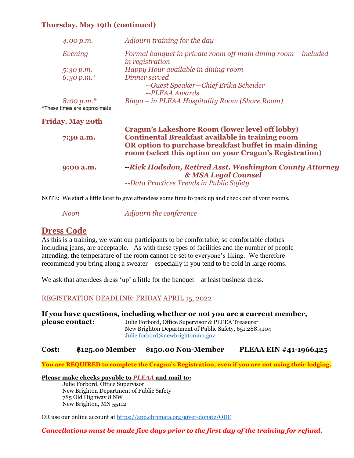### **Thursday, May 19th (continued)**

| 4:00 p.m.                                             | Adjourn training for the day                                                                                                                                                                                                   |  |
|-------------------------------------------------------|--------------------------------------------------------------------------------------------------------------------------------------------------------------------------------------------------------------------------------|--|
| Evening                                               | Formal banquet in private room off main dining room – included<br><i>in registration</i>                                                                                                                                       |  |
| 5:30 p.m.<br>6:30 p.m. $*$                            | Happy Hour available in dining room<br>Dinner served<br>--Guest Speaker-Chief Erika Scheider                                                                                                                                   |  |
| $8:00 \, \rm{p.m.}^*$<br>*These times are approximate | --PLEAA Awards<br>Bingo – in PLEAA Hospitality Room (Shore Room)                                                                                                                                                               |  |
| <b>Friday, May 20th</b>                               |                                                                                                                                                                                                                                |  |
| 7:30 a.m.                                             | Cragun's Lakeshore Room (lower level off lobby)<br><b>Continental Breakfast available in training room</b><br>OR option to purchase breakfast buffet in main dining<br>room (select this option on your Cragun's Registration) |  |
| 9:00 a.m.                                             | --Rick Hodsdon, Retired Asst. Washington County Attorney<br>& MSA Legal Counsel<br>--Data Practices Trends in Public Safety                                                                                                    |  |

NOTE: We start a little later to give attendees some time to pack up and check out of your rooms.

*Noon Adjourn the conference*

### **Dress Code**

As this is a training, we want our participants to be comfortable, so comfortable clothes including jeans, are acceptable. As with these types of facilities and the number of people attending, the temperature of the room cannot be set to everyone's liking. We therefore recommend you bring along a sweater – especially if you tend to be cold in large rooms.

We ask that attendees dress 'up' a little for the banquet – at least business dress.

#### REGISTRATION DEADLINE: FRIDAY APRIL 15, 2022

**If you have questions, including whether or not you are a current member, please contact:** Julie Forbord, Office Supervisor & PLEEA Treasurer New Brighton Department of Public Safety, 651.288.4104 [Julie.forbord@newbrightonmn.gov](mailto:Julie.forbord@newbrightonmn.gov)

#### **Cost: \$125.oo Member \$150.00 Non-Member PLEAA EIN #41-1966425**

**You are REQUIRED to complete the Cragun's Registration, even if you are not using their lodging.**

#### **Please make checks payable to** *PLEAA* **and mail to:**

Julie Forbord, Office Supervisor New Brighton Department of Public Safety 785 Old Highway 8 NW New Brighton, MN 55112

OR use our online account at<https://app.chrimata.org/giver-donate/ODE>

#### *Cancellations must be made five days prior to the first day of the training for refund.*